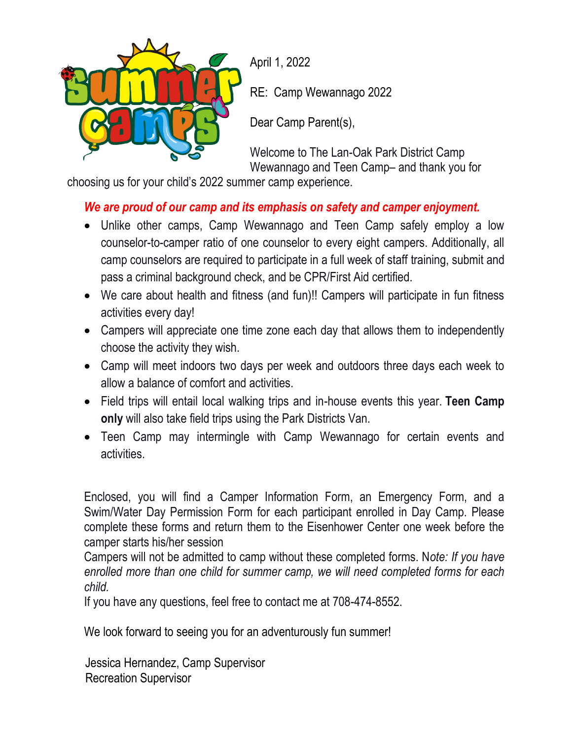

April 1, 2022

RE: Camp Wewannago 2022

Dear Camp Parent(s),

Welcome to The Lan-Oak Park District Camp Wewannago and Teen Camp– and thank you for

choosing us for your child's 2022 summer camp experience.

# *We are proud of our camp and its emphasis on safety and camper enjoyment.*

- Unlike other camps, Camp Wewannago and Teen Camp safely employ a low counselor-to-camper ratio of one counselor to every eight campers. Additionally, all camp counselors are required to participate in a full week of staff training, submit and pass a criminal background check, and be CPR/First Aid certified.
- We care about health and fitness (and fun)!! Campers will participate in fun fitness activities every day!
- Campers will appreciate one time zone each day that allows them to independently choose the activity they wish.
- Camp will meet indoors two days per week and outdoors three days each week to allow a balance of comfort and activities.
- Field trips will entail local walking trips and in-house events this year. **Teen Camp only** will also take field trips using the Park Districts Van.
- Teen Camp may intermingle with Camp Wewannago for certain events and activities.

Enclosed, you will find a Camper Information Form, an Emergency Form, and a Swim/Water Day Permission Form for each participant enrolled in Day Camp. Please complete these forms and return them to the Eisenhower Center one week before the camper starts his/her session

Campers will not be admitted to camp without these completed forms. N*ote: If you have enrolled more than one child for summer camp, we will need completed forms for each child.*

If you have any questions, feel free to contact me at 708-474-8552.

We look forward to seeing you for an adventurously fun summer!

 Jessica Hernandez, Camp Supervisor Recreation Supervisor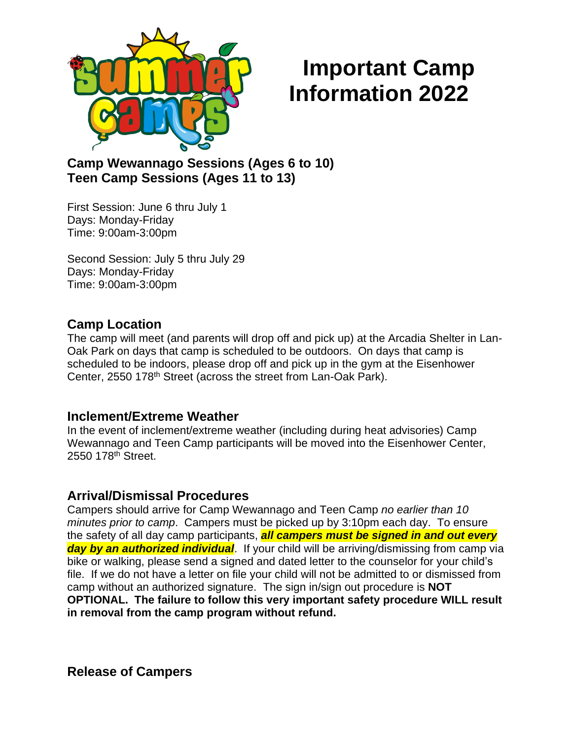

# **Important Camp Information 2022**

# **Camp Wewannago Sessions (Ages 6 to 10) Teen Camp Sessions (Ages 11 to 13)**

First Session: June 6 thru July 1 Days: Monday-Friday Time: 9:00am-3:00pm

Second Session: July 5 thru July 29 Days: Monday-Friday Time: 9:00am-3:00pm

## **Camp Location**

The camp will meet (and parents will drop off and pick up) at the Arcadia Shelter in Lan-Oak Park on days that camp is scheduled to be outdoors. On days that camp is scheduled to be indoors, please drop off and pick up in the gym at the Eisenhower Center, 2550 178<sup>th</sup> Street (across the street from Lan-Oak Park).

## **Inclement/Extreme Weather**

In the event of inclement/extreme weather (including during heat advisories) Camp Wewannago and Teen Camp participants will be moved into the Eisenhower Center, 2550 178th Street.

## **Arrival/Dismissal Procedures**

Campers should arrive for Camp Wewannago and Teen Camp *no earlier than 10 minutes prior to camp*. Campers must be picked up by 3:10pm each day. To ensure the safety of all day camp participants, *all campers must be signed in and out every day by an authorized individual*. If your child will be arriving/dismissing from camp via bike or walking, please send a signed and dated letter to the counselor for your child's file. If we do not have a letter on file your child will not be admitted to or dismissed from camp without an authorized signature. The sign in/sign out procedure is **NOT OPTIONAL. The failure to follow this very important safety procedure WILL result in removal from the camp program without refund.**

**Release of Campers**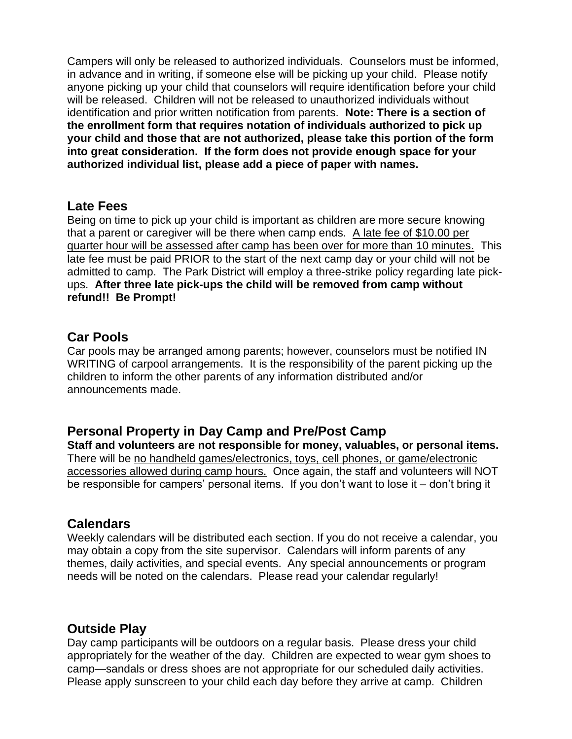Campers will only be released to authorized individuals. Counselors must be informed, in advance and in writing, if someone else will be picking up your child. Please notify anyone picking up your child that counselors will require identification before your child will be released. Children will not be released to unauthorized individuals without identification and prior written notification from parents. **Note: There is a section of the enrollment form that requires notation of individuals authorized to pick up your child and those that are not authorized, please take this portion of the form into great consideration. If the form does not provide enough space for your authorized individual list, please add a piece of paper with names.**

#### **Late Fees**

Being on time to pick up your child is important as children are more secure knowing that a parent or caregiver will be there when camp ends. A late fee of \$10.00 per quarter hour will be assessed after camp has been over for more than 10 minutes. This late fee must be paid PRIOR to the start of the next camp day or your child will not be admitted to camp. The Park District will employ a three-strike policy regarding late pickups. **After three late pick-ups the child will be removed from camp without refund!! Be Prompt!**

## **Car Pools**

Car pools may be arranged among parents; however, counselors must be notified IN WRITING of carpool arrangements. It is the responsibility of the parent picking up the children to inform the other parents of any information distributed and/or announcements made.

## **Personal Property in Day Camp and Pre/Post Camp**

**Staff and volunteers are not responsible for money, valuables, or personal items.** There will be no handheld games/electronics, toys, cell phones, or game/electronic accessories allowed during camp hours. Once again, the staff and volunteers will NOT be responsible for campers' personal items. If you don't want to lose it – don't bring it

## **Calendars**

Weekly calendars will be distributed each section. If you do not receive a calendar, you may obtain a copy from the site supervisor. Calendars will inform parents of any themes, daily activities, and special events. Any special announcements or program needs will be noted on the calendars. Please read your calendar regularly!

## **Outside Play**

Day camp participants will be outdoors on a regular basis. Please dress your child appropriately for the weather of the day. Children are expected to wear gym shoes to camp—sandals or dress shoes are not appropriate for our scheduled daily activities. Please apply sunscreen to your child each day before they arrive at camp. Children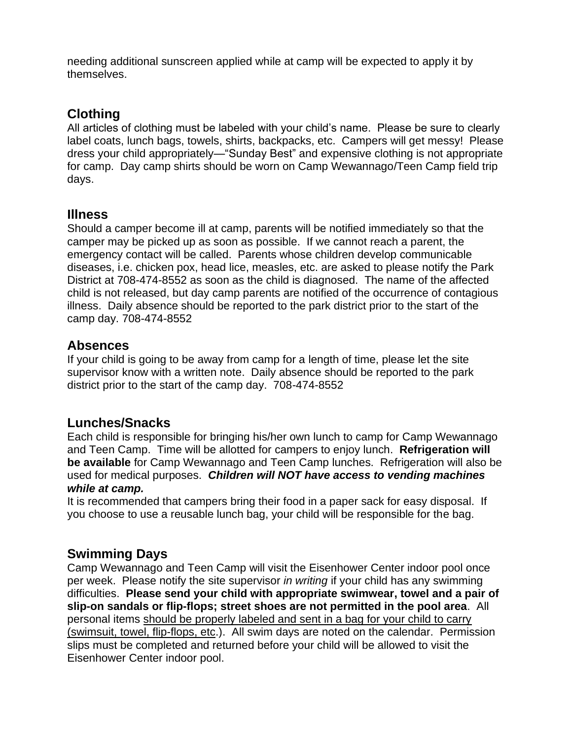needing additional sunscreen applied while at camp will be expected to apply it by themselves.

# **Clothing**

All articles of clothing must be labeled with your child's name. Please be sure to clearly label coats, lunch bags, towels, shirts, backpacks, etc. Campers will get messy! Please dress your child appropriately—"Sunday Best" and expensive clothing is not appropriate for camp. Day camp shirts should be worn on Camp Wewannago/Teen Camp field trip days.

## **Illness**

Should a camper become ill at camp, parents will be notified immediately so that the camper may be picked up as soon as possible. If we cannot reach a parent, the emergency contact will be called. Parents whose children develop communicable diseases, i.e. chicken pox, head lice, measles, etc. are asked to please notify the Park District at 708-474-8552 as soon as the child is diagnosed. The name of the affected child is not released, but day camp parents are notified of the occurrence of contagious illness. Daily absence should be reported to the park district prior to the start of the camp day. 708-474-8552

## **Absences**

If your child is going to be away from camp for a length of time, please let the site supervisor know with a written note. Daily absence should be reported to the park district prior to the start of the camp day. 708-474-8552

## **Lunches/Snacks**

Each child is responsible for bringing his/her own lunch to camp for Camp Wewannago and Teen Camp. Time will be allotted for campers to enjoy lunch. **Refrigeration will be available** for Camp Wewannago and Teen Camp lunches. Refrigeration will also be used for medical purposes. *Children will NOT have access to vending machines while at camp.*

It is recommended that campers bring their food in a paper sack for easy disposal. If you choose to use a reusable lunch bag, your child will be responsible for the bag.

## **Swimming Days**

Camp Wewannago and Teen Camp will visit the Eisenhower Center indoor pool once per week. Please notify the site supervisor *in writing* if your child has any swimming difficulties. **Please send your child with appropriate swimwear, towel and a pair of slip-on sandals or flip-flops; street shoes are not permitted in the pool area**. All personal items should be properly labeled and sent in a bag for your child to carry (swimsuit, towel, flip-flops, etc.). All swim days are noted on the calendar. Permission slips must be completed and returned before your child will be allowed to visit the Eisenhower Center indoor pool.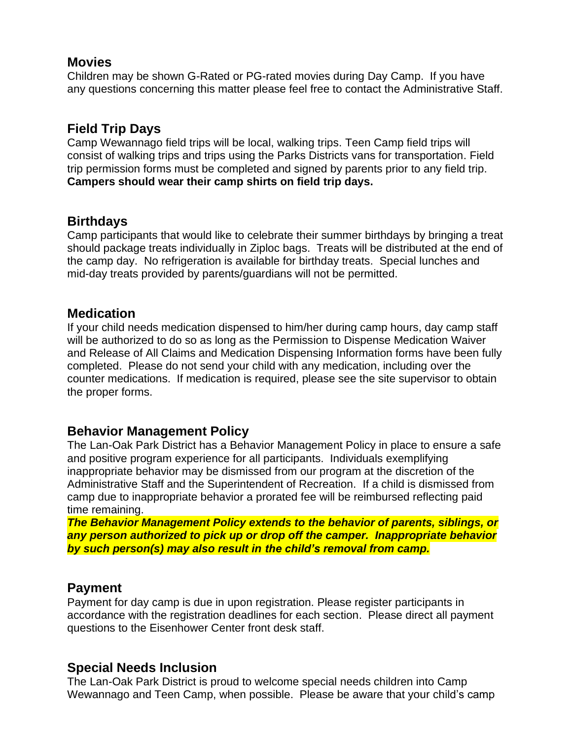#### **Movies**

Children may be shown G-Rated or PG-rated movies during Day Camp. If you have any questions concerning this matter please feel free to contact the Administrative Staff.

# **Field Trip Days**

Camp Wewannago field trips will be local, walking trips. Teen Camp field trips will consist of walking trips and trips using the Parks Districts vans for transportation. Field trip permission forms must be completed and signed by parents prior to any field trip. **Campers should wear their camp shirts on field trip days.**

## **Birthdays**

Camp participants that would like to celebrate their summer birthdays by bringing a treat should package treats individually in Ziploc bags. Treats will be distributed at the end of the camp day. No refrigeration is available for birthday treats. Special lunches and mid-day treats provided by parents/guardians will not be permitted.

#### **Medication**

If your child needs medication dispensed to him/her during camp hours, day camp staff will be authorized to do so as long as the Permission to Dispense Medication Waiver and Release of All Claims and Medication Dispensing Information forms have been fully completed. Please do not send your child with any medication, including over the counter medications. If medication is required, please see the site supervisor to obtain the proper forms.

## **Behavior Management Policy**

The Lan-Oak Park District has a Behavior Management Policy in place to ensure a safe and positive program experience for all participants. Individuals exemplifying inappropriate behavior may be dismissed from our program at the discretion of the Administrative Staff and the Superintendent of Recreation. If a child is dismissed from camp due to inappropriate behavior a prorated fee will be reimbursed reflecting paid time remaining.

*The Behavior Management Policy extends to the behavior of parents, siblings, or any person authorized to pick up or drop off the camper. Inappropriate behavior by such person(s) may also result in the child's removal from camp.*

## **Payment**

Payment for day camp is due in upon registration. Please register participants in accordance with the registration deadlines for each section. Please direct all payment questions to the Eisenhower Center front desk staff.

## **Special Needs Inclusion**

The Lan-Oak Park District is proud to welcome special needs children into Camp Wewannago and Teen Camp, when possible. Please be aware that your child's camp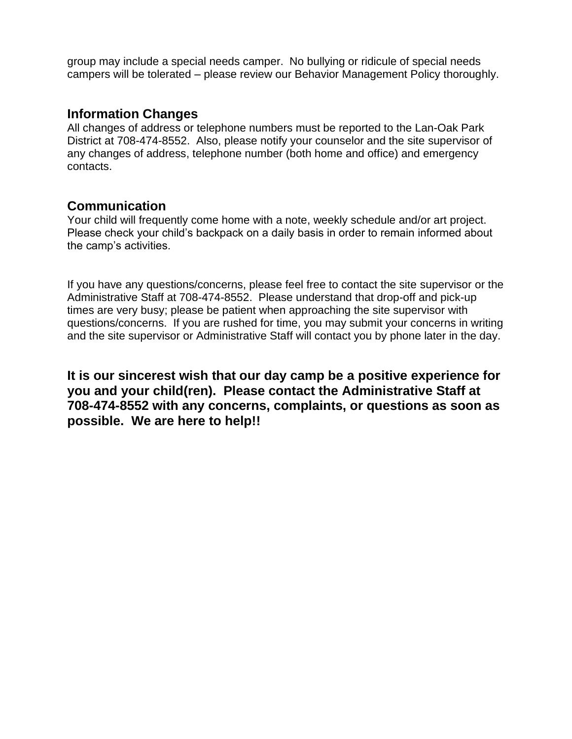group may include a special needs camper. No bullying or ridicule of special needs campers will be tolerated – please review our Behavior Management Policy thoroughly.

#### **Information Changes**

All changes of address or telephone numbers must be reported to the Lan-Oak Park District at 708-474-8552. Also, please notify your counselor and the site supervisor of any changes of address, telephone number (both home and office) and emergency contacts.

#### **Communication**

Your child will frequently come home with a note, weekly schedule and/or art project. Please check your child's backpack on a daily basis in order to remain informed about the camp's activities.

If you have any questions/concerns, please feel free to contact the site supervisor or the Administrative Staff at 708-474-8552. Please understand that drop-off and pick-up times are very busy; please be patient when approaching the site supervisor with questions/concerns. If you are rushed for time, you may submit your concerns in writing and the site supervisor or Administrative Staff will contact you by phone later in the day.

**It is our sincerest wish that our day camp be a positive experience for you and your child(ren). Please contact the Administrative Staff at 708-474-8552 with any concerns, complaints, or questions as soon as possible. We are here to help!!**